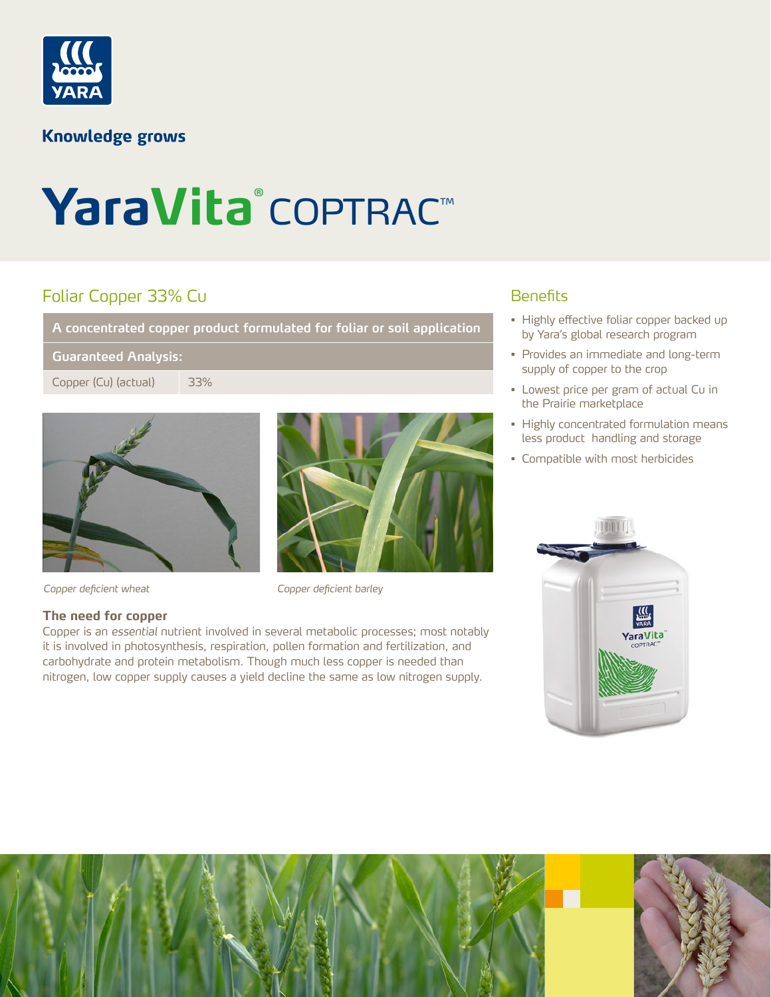

## **Knowledge grows**

# YaraVita<sup>®</sup> COPTRAC™

# Foliar Copper 33% Cu

**A concentrated copper product formulated for foliar or soil application**

#### **Guaranteed Analysis:**

Copper (Cu) (actual) 33%



*Copper deficient wheat Copper deficient barley*

#### **The need for copper**

Copper is an *essential* nutrient involved in several metabolic processes; most notably it is involved in photosynthesis, respiration, pollen formation and fertilization, and carbohydrate and protein metabolism. Though much less copper is needed than nitrogen, low copper supply causes a yield decline the same as low nitrogen supply.

### **Benefits**

- Highly effective foliar copper backed up by Yara's global research program
- Provides an immediate and long-term supply of copper to the crop
- Lowest price per gram of actual Cu in the Prairie marketplace
- Highly concentrated formulation means less product handling and storage
- Compatible with most herbicides